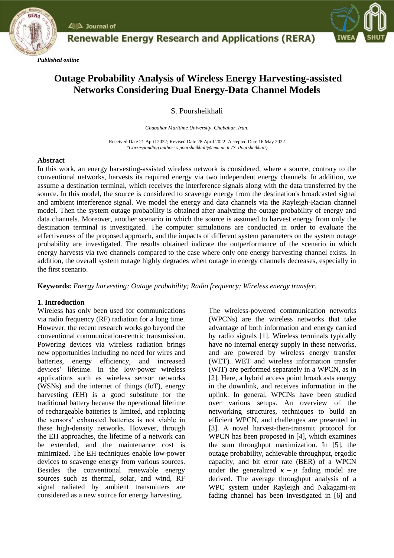





# **Outage Probability Analysis of Wireless Energy Harvesting-assisted Networks Considering Dual Energy-Data Channel Models**

# S. Poursheikhali

*Chabahar Maritime University, Chabahar, Iran*.

Received Date 21 April 2022; Revised Date 28 April 2022; Accepted Date 16 May 2022 *\*Corresponding author: s.poursheikhali@cmu.ac.ir (S. Poursheikhali)*

## **Abstract**

In this work, an energy harvesting-assisted wireless network is considered, where a source, contrary to the conventional networks, harvests its required energy via two independent energy channels. In addition, we assume a destination terminal, which receives the interference signals along with the data transferred by the source. In this model, the source is considered to scavenge energy from the destination's broadcasted signal and ambient interference signal. We model the energy and data channels via the Rayleigh-Racian channel model. Then the system outage probability is obtained after analyzing the outage probability of energy and data channels. Moreover, another scenario in which the source is assumed to harvest energy from only the destination terminal is investigated. The computer simulations are conducted in order to evaluate the effectiveness of the proposed approach, and the impacts of different system parameters on the system outage probability are investigated. The results obtained indicate the outperformance of the scenario in which energy harvests via two channels compared to the case where only one energy harvesting channel exists. In addition, the overall system outage highly degrades when outage in energy channels decreases, especially in the first scenario.

**Keywords:** *Energy harvesting; Outage probability; Radio frequency; Wireless energy transfer.*

# **1. Introduction**

Wireless has only been used for communications via radio frequency (RF) radiation for a long time. However, the recent research works go beyond the conventional communication-centric transmission. Powering devices via wireless radiation brings new opportunities including no need for wires and batteries, energy efficiency, and increased devices' lifetime. In the low-power wireless applications such as wireless sensor networks (WSNs) and the internet of things (IoT), energy harvesting (EH) is a good substitute for the traditional battery because the operational lifetime of rechargeable batteries is limited, and replacing the sensors' exhausted batteries is not viable in these high-density networks. However, through the EH approaches, the lifetime of a network can be extended, and the maintenance cost is minimized. The EH techniques enable low-power devices to scavenge energy from various sources. Besides the conventional renewable energy sources such as thermal, solar, and wind, RF signal radiated by ambient transmitters are considered as a new source for energy harvesting.

The wireless-powered communication networks (WPCNs) are the wireless networks that take advantage of both information and energy carried by radio signals [1]. Wireless terminals typically have no internal energy supply in these networks, and are powered by wireless energy transfer (WET). WET and wireless information transfer (WIT) are performed separately in a WPCN, as in [2]. Here, a hybrid access point broadcasts energy in the downlink, and receives information in the uplink. In general, WPCNs have been studied over various setups. An overview of the networking structures, techniques to build an efficient WPCN, and challenges are presented in [3]. A novel harvest-then-transmit protocol for WPCN has been proposed in [4], which examines the sum throughput maximization. In [5], the outage probability, achievable throughput, ergodic capacity, and bit error rate (BER) of a WPCN under the generalized  $\kappa - \mu$  fading model are derived. The average throughput analysis of a WPC system under Rayleigh and Nakagami-m fading channel has been investigated in [6] and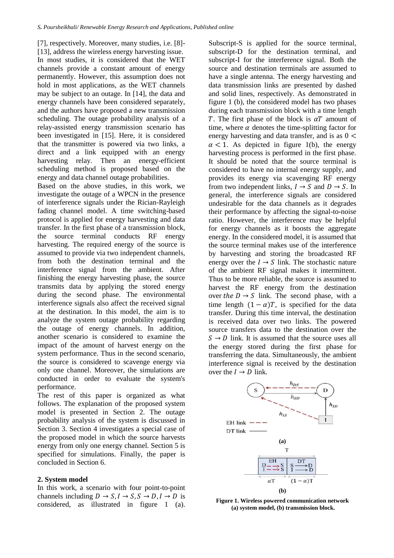[7], respectively. Moreover, many studies, i.e. [8]- [13], address the wireless energy harvesting issue. In most studies, it is considered that the WET channels provide a constant amount of energy permanently. However, this assumption does not hold in most applications, as the WET channels may be subject to an outage. In [14], the data and energy channels have been considered separately, and the authors have proposed a new transmission scheduling. The outage probability analysis of a relay-assisted energy transmission scenario has been investigated in [15]. Here, it is considered that the transmitter is powered via two links, a direct and a link equipped with an energy harvesting relay. Then an energy-efficient scheduling method is proposed based on the energy and data channel outage probabilities.

Based on the above studies, in this work, we investigate the outage of a WPCN in the presence of interference signals under the Rician-Rayleigh fading channel model. A time switching-based protocol is applied for energy harvesting and data transfer. In the first phase of a transmission block, the source terminal conducts RF energy harvesting. The required energy of the source is assumed to provide via two independent channels, from both the destination terminal and the interference signal from the ambient. After finishing the energy harvesting phase, the source transmits data by applying the stored energy during the second phase. The environmental interference signals also affect the received signal at the destination. In this model, the aim is to analyze the system outage probability regarding the outage of energy channels. In addition, another scenario is considered to examine the impact of the amount of harvest energy on the system performance. Thus in the second scenario, the source is considered to scavenge energy via only one channel. Moreover, the simulations are conducted in order to evaluate the system's performance.

The rest of this paper is organized as what follows. The explanation of the proposed system model is presented in Section 2. The outage probability analysis of the system is discussed in Section 3. Section 4 investigates a special case of the proposed model in which the source harvests energy from only one energy channel. Section 5 is specified for simulations. Finally, the paper is concluded in Section 6.

#### **2. System model**

In this work, a scenario with four point-to-point channels including  $D \to S, I \to S, S \to D, I \to D$  is considered, as illustrated in figure 1 (a). Subscript-S is applied for the source terminal, subscript-D for the destination terminal, and subscript-I for the interference signal. Both the source and destination terminals are assumed to have a single antenna. The energy harvesting and data transmission links are presented by dashed and solid lines, respectively. As demonstrated in figure 1 (b), the considered model has two phases during each transmission block with a time length T. The first phase of the block is  $\alpha T$  amount of time, where  $\alpha$  denotes the time-splitting factor for energy harvesting and data transfer, and is as  $0 \le$  $\alpha$  < 1. As depicted in figure 1(b), the energy harvesting process is performed in the first phase. It should be noted that the source terminal is considered to have no internal energy supply, and provides its energy via scavenging RF energy from two independent links,  $I \rightarrow S$  and  $D \rightarrow S$ . In general, the interference signals are considered undesirable for the data channels as it degrades their performance by affecting the signal-to-noise ratio. However, the interference may be helpful for energy channels as it boosts the aggregate energy. In the considered model, it is assumed that the source terminal makes use of the interference by harvesting and storing the broadcasted RF energy over the  $I \rightarrow S$  link. The stochastic nature of the ambient RF signal makes it intermittent. Thus to be more reliable, the source is assumed to harvest the RF energy from the destination over the  $D \rightarrow S$  link. The second phase, with a time length  $(1 - \alpha)T$ , is specified for the data transfer. During this time interval, the destination is received data over two links. The powered source transfers data to the destination over the  $S \rightarrow D$  link. It is assumed that the source uses all the energy stored during the first phase for transferring the data. Simultaneously, the ambient interference signal is received by the destination over the  $I \rightarrow D$  link.



**Figure 1. Wireless powered communication network (a) system model, (b) transmission block.**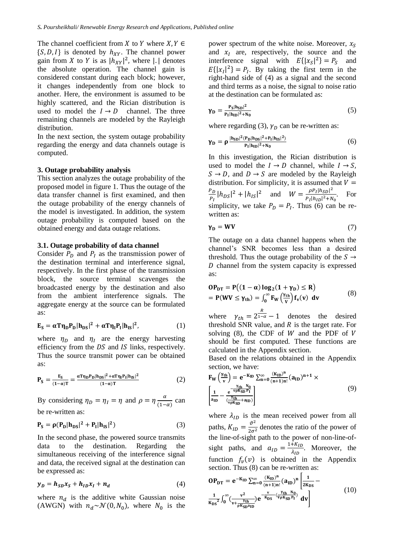The channel coefficient from X to Y where  $X, Y \in$  $\{S, D, I\}$  is denoted by  $h_{XY}$ . The channel power gain from X to Y is as  $|h_{XY}|^2$ , where | | denotes the absolute operation. The channel gain is considered constant during each block; however, it changes independently from one block to another. Here, the environment is assumed to be highly scattered, and the Rician distribution is used to model the  $I \rightarrow D$  channel. The three remaining channels are modeled by the Rayleigh distribution.

In the next section, the system outage probability regarding the energy and data channels outage is computed.

#### **3. Outage probability analysis**

This section analyzes the outage probability of the proposed model in figure 1. Thus the outage of the data transfer channel is first examined, and then the outage probability of the energy channels of the model is investigated. In addition, the system outage probability is computed based on the obtained energy and data outage relations.

#### **3.1. Outage probability of data channel**

Consider  $P_D$  and  $P_I$  as the transmission power of the destination terminal and interference signal, respectively. In the first phase of the transmission block, the source terminal scavenges the broadcasted energy by the destination and also from the ambient interference signals. The aggregate energy at the source can be formulated as:

$$
\mathbf{E}_{\mathbf{S}} = \alpha \mathbf{T} \boldsymbol{\eta}_{\mathbf{D}} \mathbf{P}_{\mathbf{D}} |\mathbf{h}_{\mathbf{D}\mathbf{S}}|^2 + \alpha \mathbf{T} \boldsymbol{\eta}_{\mathbf{I}} \mathbf{P}_{\mathbf{I}} |\mathbf{h}_{\mathbf{I}\mathbf{S}}|^2, \tag{1}
$$

where  $\eta_D$  and  $\eta_I$  are the energy harvesting efficiency from the  $DS$  and  $IS$  links, respectively. Thus the source transmit power can be obtained as:

$$
\mathbf{P}_{\mathbf{S}} = \frac{\mathbf{E}_{\mathbf{S}}}{(1-\alpha)\mathbf{T}} = \frac{\alpha \mathbf{T} \eta_{\mathbf{D}} \mathbf{P}_{\mathbf{D}} |\mathbf{h}_{\mathbf{D}\mathbf{S}}|^2 + \alpha \mathbf{T} \eta_{\mathbf{I}} \mathbf{P}_{\mathbf{I}} |\mathbf{h}_{\mathbf{I}\mathbf{S}}|^2}{(1-\alpha)\mathbf{T}}
$$
(2)

By considering  $\eta_D = \eta_I = \eta$  and  $\rho = \eta \frac{\alpha}{\sqrt{1-\alpha}}$  $\frac{a}{(1-\alpha)}$  can be re-written as:

$$
\mathbf{P}_{\mathbf{S}} = \rho(\mathbf{P}_{\mathbf{D}}|\mathbf{h}_{\mathbf{D}\mathbf{S}}|^2 + \mathbf{P}_{\mathbf{I}}|\mathbf{h}_{\mathbf{I}\mathbf{S}}|^2)
$$
(3)

In the second phase, the powered source transmits data to the destination. Regarding the simultaneous receiving of the interference signal and data, the received signal at the destination can be expressed as:

$$
y_D = h_{SD}x_S + h_{ID}x_I + n_d \tag{4}
$$

where  $n_d$  is the additive white Gaussian noise (AWGN) with  $n_d \sim \mathcal{N}(0, N_0)$ , where  $N_0$  is the power spectrum of the white noise. Moreover,  $x_s$ and  $x_I$  are, respectively, the source and the interference signal with  $E\{|x_s|^2\} = P_s$  and  $E\{|x_I|^2\} = P_I$ . By taking the first term in the right-hand side of (4) as a signal and the second and third terms as a noise, the signal to noise ratio at the destination can be formulated as:

$$
\gamma_{\rm D} = \frac{\rm P_S |h_{SD}|^2}{\rm P_I |h_{ID}|^2 + N_0} \tag{5}
$$

where regarding (3),  $\gamma_D$  can be re-written as:

$$
\gamma_D = \rho \frac{|h_{SD}|^2 (P_D |h_{DS}|^2 + P_I |h_{IS}|^2)}{P_I |h_{ID}|^2 + N_0}
$$
(6)

In this investigation, the Rician distribution is used to model the  $I \rightarrow D$  channel, while  $I \rightarrow S$ ,  $S \rightarrow D$ , and  $D \rightarrow S$  are modeled by the Rayleigh distribution. For simplicity, it is assumed that  $V =$  $P_D$  $\frac{P_D}{P_I} |h_{DS}|^2 + |h_{IS}|^2$  and  $W = \frac{\rho P_I |h_{SD}|^2}{P_I |h_{ID}|^2 + N}$  $\frac{P_1\ln_{BD}}{P_1\ln_{1D}+N_0}$ . For simplicity, we take  $P_D = P_I$ . Thus (6) can be rewritten as:

$$
\gamma_{\mathbf{D}} = \mathbf{W}\mathbf{V} \tag{7}
$$

The outage on a data channel happens when the channel's SNR becomes less than a desired threshold. Thus the outage probability of the  $S \rightarrow$ D channel from the system capacity is expressed as:

$$
OP_{DT} = P((1 - \alpha) \log_2(1 + \gamma_D) \le R)
$$
  
= P(WV \le \gamma\_{th}) = \int\_0^\infty F\_W(\frac{\gamma\_{th}}{v}) f\_V(v) dv (8)

where  $\gamma_{th} = 2^{\frac{R}{1-\alpha}} - 1$  denotes the desired threshold SNR value, and  $R$  is the target rate. For solving  $(8)$ , the CDF of W and the PDF of V should be first computed. These functions are calculated in the Appendix section.

Based on the relations obtained in the Appendix section, we have:

$$
F_{W}\left(\frac{\gamma_{th}}{v}\right) = e^{-K_{ID}} \sum_{n=0}^{\infty} \frac{(K_{ID})^{n}}{(n+1)n!} (a_{ID})^{n+1} \times \left[\frac{1}{a_{ID}} - \frac{e^{-\frac{\gamma_{th}}{\gamma_{p}K_{SD}}p_{I}}}{(\frac{\gamma_{th}}{\gamma_{p}K_{SD}}+a_{ID})}\right]
$$
\n(9)

where  $\lambda_{ID}$  is the mean received power from all paths,  $K_{ID} = \frac{\vartheta^2}{2\sigma^2}$  $\frac{v}{2\sigma^2}$  denotes the ratio of the power of the line-of-sight path to the power of non-line-ofsight paths, and  $a_{ID} = \frac{1 + K_{ID}}{\lambda_{ID}}$  $\frac{H_{ND}}{\lambda_{ID}}$ . Moreover, the function  $f_\nu(v)$  is obtained in the Appendix section. Thus (8) can be re-written as:

$$
OP_{DT} = e^{-K_{ID}} \sum_{n=0}^{\infty} \frac{(K_{ID})^n}{(n+1)n!} (a_{ID})^n \left[ \frac{1}{2K_{DS}} - \frac{1}{K_{DS}} \int_0^{\infty} \frac{v^2}{(v + \frac{V_{th}}{\rho K_{SD} a_{ID}})} e^{-\frac{v}{K_{DS}} \cdot (\frac{V_{th} - N_0}{V \rho K_{SD} P_1})} dv \right]
$$
(10)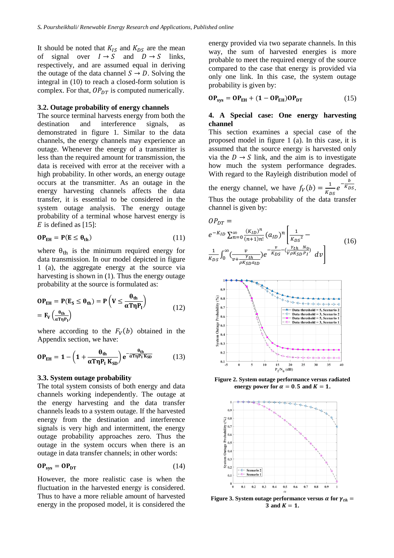It should be noted that  $K_{IS}$  and  $K_{DS}$  are the mean of signal over  $I \rightarrow S$  and  $D \rightarrow S$  links, respectively, and are assumed equal in deriving the outage of the data channel  $S \rightarrow D$ . Solving the integral in (10) to reach a closed-form solution is complex. For that,  $OP_{DT}$  is computed numerically.

#### **3.2. Outage probability of energy channels**

The source terminal harvests energy from both the destination and interference signals, as demonstrated in figure 1. Similar to the data channels, the energy channels may experience an outage. Whenever the energy of a transmitter is less than the required amount for transmission, the data is received with error at the receiver with a high probability. In other words, an energy outage occurs at the transmitter. As an outage in the energy harvesting channels affects the data transfer, it is essential to be considered in the system outage analysis. The energy outage probability of a terminal whose harvest energy is  $E$  is defined as [15]:

$$
\mathbf{OP}_{EH} = \mathbf{P}(E \le \theta_{th}) \tag{11}
$$

where  $\theta_{th}$  is the minimum required energy for data transmission. In our model depicted in figure 1 (a), the aggregate energy at the source via harvesting is shown in (1). Thus the energy outage probability at the source is formulated as:

$$
OP_{EH} = P(E_S \le \theta_{th}) = P\left(V \le \frac{\theta_{th}}{\alpha T \eta P_1}\right)
$$
  
=  $F_V \left(\frac{\theta_{th}}{\alpha T \eta P_1}\right)$  (12)

where according to the  $F_V(b)$  obtained in the Appendix section, we have:

$$
OP_{EH} = 1 - \left(1 + \frac{\theta_{th}}{\alpha T \eta P_I K_{SD}}\right) e^{-\frac{\theta_{th}}{\alpha T \eta P_I K_{SD}}} \tag{13}
$$

#### **3.3. System outage probability**

The total system consists of both energy and data channels working independently. The outage at the energy harvesting and the data transfer channels leads to a system outage. If the harvested energy from the destination and interference signals is very high and intermittent, the energy outage probability approaches zero. Thus the outage in the system occurs when there is an outage in data transfer channels; in other words:

$$
\mathbf{OP}_{\mathbf{sys}} = \mathbf{OP}_{\mathbf{DT}} \tag{14}
$$

However, the more realistic case is when the fluctuation in the harvested energy is considered. Thus to have a more reliable amount of harvested energy in the proposed model, it is considered the energy provided via two separate channels. In this way, the sum of harvested energies is more probable to meet the required energy of the source compared to the case that energy is provided via only one link. In this case, the system outage probability is given by:

$$
\mathbf{OP}_{\mathbf{sys}} = \mathbf{OP}_{\mathbf{EH}} + (\mathbf{1} - \mathbf{OP}_{\mathbf{EH}})\mathbf{OP}_{\mathbf{DT}} \tag{15}
$$

### **4. A Special case: One energy harvesting channel**

This section examines a special case of the proposed model in figure 1 (a). In this case, it is assumed that the source energy is harvested only via the  $D \rightarrow S$  link, and the aim is to investigate how much the system performance degrades. With regard to the Rayleigh distribution model of the energy channel, we have  $f_V(b) = \frac{1}{K_r}$  $\frac{1}{K_{DS}}e^{-\frac{b}{K_L}}$  $K_{DS}$ . Thus the outage probability of the data transfer channel is given by:

$$
OP_{DT} = e^{-K_{ID}} \sum_{n=0}^{\infty} \frac{(K_{ID})^n}{(n+1)n!} (a_{ID})^n \left[ \frac{1}{K_{DS}^2} - \frac{1}{K_{DS}^2} \right]
$$
  

$$
\frac{1}{K_{DS}} \int_0^{\infty} \left( \frac{v}{v + \frac{\gamma_{th}}{\rho K_{SD} a_{ID}}} \right) e^{-\frac{v}{K_{DS}} - (\frac{\gamma_{th}}{V \rho K_{SD} P_I})} dv \right]
$$
(16)



**Figure 2. System outage performance versus radiated energy power for**  $\alpha = 0.5$  **and**  $K = 1$ **.** 



**Figure 3. System outage performance versus**  $\alpha$  **for**  $\gamma_{th}$  **= 3** and  $K = 1$ .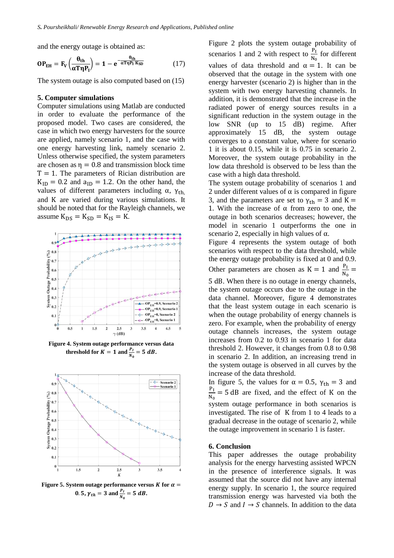and the energy outage is obtained as:

$$
\mathbf{OP}_{\mathrm{EH}} = \mathbf{F}_{V} \left( \frac{\theta_{\mathrm{th}}}{\alpha \mathbf{T} \mathbf{\eta} \mathbf{P}_{\mathrm{I}}} \right) = \mathbf{1} - \mathbf{e}^{-\frac{\theta_{\mathrm{th}}}{\alpha \mathbf{T} \mathbf{\eta} \mathbf{P}_{\mathrm{I}} \mathbf{K}_{\mathrm{SD}}}} \tag{17}
$$

The system outage is also computed based on (15)

#### **5. Computer simulations**

Computer simulations using Matlab are conducted in order to evaluate the performance of the proposed model. Two cases are considered, the case in which two energy harvesters for the source are applied, namely scenario 1, and the case with one energy harvesting link, namely scenario 2. Unless otherwise specified, the system parameters are chosen as  $\eta = 0.8$  and transmission block time  $T = 1$ . The parameters of Rician distribution are  $K_{ID} = 0.2$  and  $a_{ID} = 1.2$ . On the other hand, the values of different parameters including  $α$ ,  $γ$ <sub>th</sub> and K are varied during various simulations. It should be noted that for the Rayleigh channels, we assume  $K_{DS} = K_{SD} = K_{IS} = K$ .



**Figure 4. System outage performance versus data threshold for**  $K = 1$  **and**  $\frac{P_I}{N_0} = 5$  **dB.** 



**Figure 5. System outage performance versus**  $K$  **for**  $\alpha =$ 0. 5,  $\gamma_{th} = 3$  and  $\frac{P_I}{N_0} = 5$  dB.

Figure 2 plots the system outage probability of scenarios 1 and 2 with respect to  $\frac{P_1}{N_0}$  for different values of data threshold and  $\alpha = 1$ . It can be observed that the outage in the system with one energy harvester (scenario 2) is higher than in the system with two energy harvesting channels. In addition, it is demonstrated that the increase in the radiated power of energy sources results in a significant reduction in the system outage in the low SNR (up to 15 dB) regime. After approximately 15 dB, the system outage converges to a constant value, where for scenario 1 it is about 0.15, while it is 0.75 in scenario 2. Moreover, the system outage probability in the low data threshold is observed to be less than the case with a high data threshold.

The system outage probability of scenarios 1 and 2 under different values of  $\alpha$  is compared in figure 3, and the parameters are set to  $\gamma_{\text{th}} = 3$  and K = 1. With the increase of  $\alpha$  from zero to one, the outage in both scenarios decreases; however, the model in scenario 1 outperforms the one in scenario 2, especially in high values of  $\alpha$ .

Figure 4 represents the system outage of both scenarios with respect to the data threshold, while the energy outage probability is fixed at 0 and 0.9. Other parameters are chosen as  $K = 1$  and  $\frac{P_I}{N_0} =$ 

5 dB. When there is no outage in energy channels, the system outage occurs due to the outage in the data channel. Moreover, figure 4 demonstrates that the least system outage in each scenario is when the outage probability of energy channels is zero. For example, when the probability of energy outage channels increases, the system outage increases from 0.2 to 0.93 in scenario 1 for data threshold 2. However, it changes from 0.8 to 0.98 in scenario 2. In addition, an increasing trend in the system outage is observed in all curves by the increase of the data threshold.

In figure 5, the values for  $\alpha = 0.5$ ,  $\gamma_{\text{th}} = 3$  and  $P<sub>I</sub>$  $\frac{11}{N_0}$  = 5 dB are fixed, and the effect of K on the system outage performance in both scenarios is investigated. The rise of K from 1 to 4 leads to a gradual decrease in the outage of scenario 2, while the outage improvement in scenario 1 is faster.

#### **6. Conclusion**

This paper addresses the outage probability analysis for the energy harvesting assisted WPCN in the presence of interference signals. It was assumed that the source did not have any internal energy supply. In scenario 1, the source required transmission energy was harvested via both the  $D \rightarrow S$  and  $I \rightarrow S$  channels. In addition to the data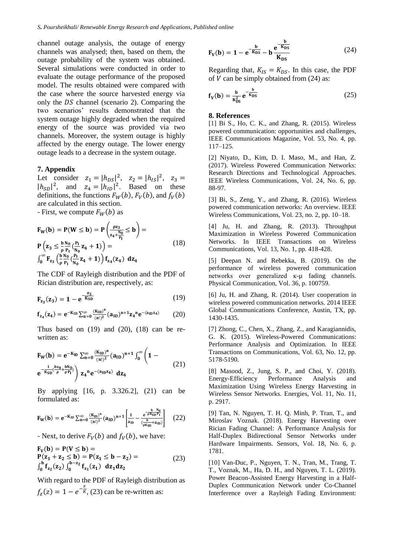channel outage analysis, the outage of energy channels was analysed; then, based on them, the outage probability of the system was obtained. Several simulations were conducted in order to evaluate the outage performance of the proposed model. The results obtained were compared with the case where the source harvested energy via only the  $DS$  channel (scenario 2). Comparing the two scenarios' results demonstrated that the system outage highly degraded when the required energy of the source was provided via two channels. Moreover, the system outage is highly affected by the energy outage. The lower energy outage leads to a decrease in the system outage.

#### **7. Appendix**

Let consider  $z_1 = |h_{DS}|^2$ ,  $z_2 = |h_{IS}|^2$ ,  $z_3 =$  $|h_{SD}|^2$ , and  $z_4 = |h_{ID}|^2$ . Based on these definitions, the functions  $F_W(b)$ ,  $F_V(b)$ , and  $f_V(b)$ are calculated in this section.

- First, we compute  $F_W(b)$  as

$$
F_W(b) = P(W \le b) = P\left(\frac{\rho z_3}{z_4 + \frac{N_0}{P_1}} \le b\right) =
$$
  
\n
$$
P\left(z_3 \le \frac{b}{\rho} \frac{N_0}{P_1} \left(\frac{P_1}{N_0} z_4 + 1\right)\right) =
$$
  
\n
$$
\int_0^\infty F_{z_3} \left(\frac{b}{\rho} \frac{N_0}{P_1} \left(\frac{P_1}{N_0} z_4 + 1\right)\right) f_{z_4}(z_4) dz_4
$$
\n(18)

The CDF of Rayleigh distribution and the PDF of Rician distribution are, respectively, as:

$$
\mathbf{F}_{z_3}(z_3) = 1 - e^{-\frac{z_3}{K_{SD}}} \tag{19}
$$

$$
f_{z_4}(z_4) = e^{-K_{ID}} \sum_{n=0}^{\infty} \frac{(K_{ID})^n}{(n!)^2} (a_{ID})^{n+1} z_4^{n} e^{-(a_{ID}z_4)}
$$
(20)

Thus based on  $(19)$  and  $(20)$ ,  $(18)$  can be rewritten as:

$$
F_{W}(b) = e^{-K_{ID}} \sum_{n=0}^{\infty} \frac{(K_{ID})^{n}}{(n!)^{2}} (a_{ID})^{n+1} \int_{0}^{\infty} \left(1 - e^{-\frac{1}{K_{SD}} \left(\frac{b z_{4}}{p} + \frac{b N_{0}}{p P}\right)} \right) z_{4}^{n} e^{-(a_{ID} z_{4})} dz_{4}
$$
\n(21)

By applying [16, p. 3.326.2], (21) can be formulated as:

$$
F_{W}(b) = e^{-K_{ID}} \sum_{n=0}^{\infty} \frac{(K_{ID})^{n}}{(n!)^{2}} (a_{ID})^{n+1} \left[ \frac{1}{a_{ID}} - \frac{e^{-\frac{b}{\rho K_{SD}} P_{I}}}{(\frac{b}{\rho K_{SD}} + a_{ID})} \right] \quad (22)
$$

- Next, to derive  $F_V(b)$  and  $f_V(b)$ , we have:

$$
F_V(b) = P(V \le b) =P(z_1 + z_2 \le b) = P(z_1 \le b - z_2) =\int_0^b f_{z_2}(z_2) \int_0^{b-z_2} f_{z_1}(z_1) dz_1 dz_2
$$
 (23)

With regard to the PDF of Rayleigh distribution as  $f_z(z) = 1 - e^{-\frac{z}{K}}$ , (23) can be re-written as:

$$
F_V(b) = 1 - e^{-\frac{b}{K_{DS}}} - b \frac{e^{-\frac{b}{K_{DS}}}}{K_{DS}}
$$
 (24)

Regarding that,  $K_{IS} = K_{DS}$ . In this case, the PDF of  $V$  can be simply obtained from (24) as:

$$
\mathbf{f}_{V}(\mathbf{b}) = \frac{\mathbf{b}}{\mathbf{K}_{\text{DS}}^{2}} \mathbf{e}^{-\frac{\mathbf{b}}{\mathbf{K}_{\text{DS}}}} \tag{25}
$$

#### **8. References**

[1] Bi S., Ho, C. K., and Zhang, R. (2015). Wireless powered communication: opportunities and challenges, IEEE Communications Magazine, Vol. 53, No. 4, pp. 117–125.

[2] Niyato, D., Kim, D. I. Maso, M., and Han, Z. (2017). Wireless Powered Communication Networks: Research Directions and Technological Approaches. IEEE Wireless Communications, Vol. 24, No. 6, pp. 88-97.

[3] Bi, S., Zeng, Y., and Zhang, R. (2016). Wireless powered communication networks: An overview. IEEE Wireless Communications, Vol. 23, no. 2, pp. 10–18.

[4] Ju, H. and Zhang, R. (2013). Throughput Maximization in Wireless Powered Communication Networks. In IEEE Transactions on Wireless Communications, Vol. 13, No. 1, pp. 418-428.

[5] Deepan N. and Rebekka, B. (2019). On the performance of wireless powered communication networks over generalized κ-µ fading channels. Physical Communication, Vol. 36, p. 100759.

[6] Ju, H. and Zhang, R. (2014). User cooperation in wireless powered communication networks. 2014 IEEE Global Communications Conference, Austin, TX, pp. 1430-1435.

[7] Zhong, C., Chen, X., Zhang, Z., and Karagiannidis, G. K. (2015). Wireless-Powered Communications: Performance Analysis and Optimization. In IEEE Transactions on Communications, Vol. 63, No. 12, pp. 5178-5190.

[8] Masood, Z., Jung, S. P., and Choi, Y. (2018). Energy-Efficiency Performance Analysis and Maximization Using Wireless Energy Harvesting in Wireless Sensor Networks. Energies, Vol. 11, No. 11, p. 2917.

[9] Tan, N. Nguyen, T. H. Q. Minh, P. Tran, T., and Miroslav Voznak. (2018). Energy Harvesting over Rician Fading Channel: A Performance Analysis for Half-Duplex Bidirectional Sensor Networks under Hardware Impairments. Sensors, Vol. 18, No. 6, p. 1781.

[10] Van-Duc, P., Nguyen, T. N., Tran, M., Trang, T. T., Voznak, M., Ha, D. H., and Nguyen, T. L. (2019). Power Beacon-Assisted Energy Harvesting in a Half-Duplex Communication Network under Co-Channel Interference over a Rayleigh Fading Environment: